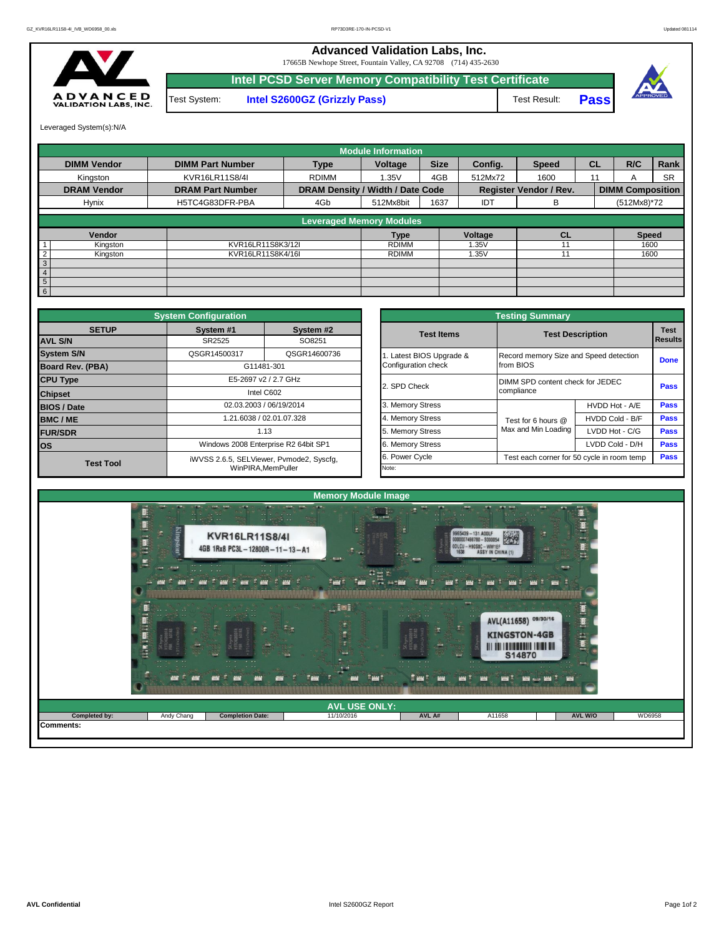

Test System: **Intel S2600GZ (Grizzly Pass)** Test Result: **Pass** 17665B Newhope Street, Fountain Valley, CA 92708 (714) 435-2630 **Intel PCSD Server Memory Compatibility Test Certificate**

**Advanced Validation Labs, Inc.** 



Leveraged System(s):N/A

|                    |                         |                                  | <b>Module Information</b>       |             |         |                        |           |                         |           |
|--------------------|-------------------------|----------------------------------|---------------------------------|-------------|---------|------------------------|-----------|-------------------------|-----------|
| <b>DIMM Vendor</b> | <b>DIMM Part Number</b> | <b>Type</b>                      | Voltage                         | <b>Size</b> | Config. | <b>Speed</b>           | <b>CL</b> | R/C                     | Rank      |
| Kinaston           | KVR16LR11S8/4I          | <b>RDIMM</b>                     | 1.35V                           | 4GB         | 512Mx72 | 1600                   | 11        | A                       | <b>SR</b> |
| <b>DRAM Vendor</b> | <b>DRAM Part Number</b> | DRAM Density / Width / Date Code |                                 |             |         | Register Vendor / Rev. |           | <b>DIMM Composition</b> |           |
| Hynix              | H5TC4G83DFR-PBA         | 4Gb                              | 512Mx8bit                       | 1637        | IDT     | В                      |           | (512Mx8)*72             |           |
|                    |                         |                                  | <b>Leveraged Memory Modules</b> |             |         |                        |           |                         |           |
| Vendor             |                         |                                  | <b>Type</b>                     |             | Voltage | CL                     |           | <b>Speed</b>            |           |
| Kingston           | KVR16LR11S8K3/12I       |                                  | <b>RDIMM</b>                    |             | 1.35V   |                        |           | 1600                    |           |
| Kingston           | KVR16LR11S8K4/16I       |                                  | <b>RDIMM</b>                    |             | 1.35V   | 11                     |           | 1600                    |           |
| 3                  |                         |                                  |                                 |             |         |                        |           |                         |           |
| $\overline{4}$     |                         |                                  |                                 |             |         |                        |           |                         |           |
| $5\overline{5}$    |                         |                                  |                                 |             |         |                        |           |                         |           |
| 6 <sup>1</sup>     |                         |                                  |                                 |             |         |                        |           |                         |           |

|                                | <b>System Configuration</b> |                                          |                       | <b>Testing Summary</b>                 |                                            |                        |
|--------------------------------|-----------------------------|------------------------------------------|-----------------------|----------------------------------------|--------------------------------------------|------------------------|
| <b>SETUP</b><br><b>AVL S/N</b> | System #1                   | System #2                                | <b>Test Items</b>     |                                        | <b>Test Description</b>                    | <b>Test</b><br>Results |
|                                | SR2525                      | SO8251                                   |                       |                                        |                                            |                        |
| <b>System S/N</b>              | QSGR14500317                | QSGR14600736                             | Latest BIOS Upgrade & | Record memory Size and Speed detection |                                            | <b>Done</b>            |
| <b>Board Rev. (PBA)</b>        |                             | G11481-301                               | Configuration check   | from BIOS                              |                                            |                        |
| <b>CPU Type</b>                |                             | E5-2697 v2 / 2.7 GHz                     | 2. SPD Check          | DIMM SPD content check for JEDEC       |                                            | Pass                   |
| <b>Chipset</b>                 |                             | Intel C602                               |                       | compliance                             |                                            |                        |
| <b>BIOS / Date</b>             |                             | 02.03.2003 / 06/19/2014                  | 3. Memory Stress      |                                        | HVDD Hot - A/E                             | <b>Pass</b>            |
| <b>BMC/ME</b>                  |                             | 1.21.6038 / 02.01.07.328                 | 4. Memory Stress      | Test for 6 hours @                     | HVDD Cold - B/F                            | <b>Pass</b>            |
| <b>FUR/SDR</b>                 |                             | 1.13                                     | 5. Memory Stress      | Max and Min Loading                    | LVDD Hot - C/G                             | <b>Pass</b>            |
| <b>los</b>                     |                             | Windows 2008 Enterprise R2 64bit SP1     | 6. Memory Stress      |                                        | LVDD Cold - D/H                            | Pass                   |
| <b>Test Tool</b>               |                             | iWVSS 2.6.5, SELViewer, Pvmode2, Syscfq, | 6. Power Cycle        |                                        | Test each corner for 50 cycle in room temp | <b>Pass</b>            |
|                                |                             | WinPIRA.MemPuller                        | Note:                 |                                        |                                            |                        |

| nfiguration                          |                                        |                          | <b>Testing Summary</b>                     |                 |                |  |  |
|--------------------------------------|----------------------------------------|--------------------------|--------------------------------------------|-----------------|----------------|--|--|
| iystem #1                            | System #2                              | <b>Test Items</b>        | <b>Test Description</b>                    |                 | <b>Test</b>    |  |  |
| SR2525                               | SO8251                                 |                          |                                            |                 | <b>Results</b> |  |  |
| GR14500317                           | QSGR14600736                           | 1. Latest BIOS Upgrade & | Record memory Size and Speed detection     |                 |                |  |  |
|                                      | G11481-301                             | Configuration check      | from BIOS                                  |                 | <b>Done</b>    |  |  |
|                                      | E5-2697 v2 / 2.7 GHz                   | 2. SPD Check             | DIMM SPD content check for JEDEC           |                 | Pass           |  |  |
|                                      | Intel C602                             |                          | compliance                                 |                 |                |  |  |
|                                      | 02.03.2003 / 06/19/2014                | 3. Memory Stress         |                                            | HVDD Hot - A/E  | Pass           |  |  |
|                                      | 1.21.6038 / 02.01.07.328               | 4. Memory Stress         | Test for 6 hours @                         | HVDD Cold - B/F | Pass           |  |  |
|                                      | 1.13                                   | 5. Memory Stress         | Max and Min Loading                        | LVDD Hot - C/G  | Pass           |  |  |
| Windows 2008 Enterprise R2 64bit SP1 |                                        | 6. Memory Stress         |                                            | LVDD Cold - D/H | Pass           |  |  |
|                                      | VSS 2.6.5, SELViewer, Pvmode2, Syscfg, | 6. Power Cycle           | Test each corner for 50 cycle in room temp |                 |                |  |  |
|                                      | WinPIRA.MemPuller                      | Note:                    |                                            |                 |                |  |  |